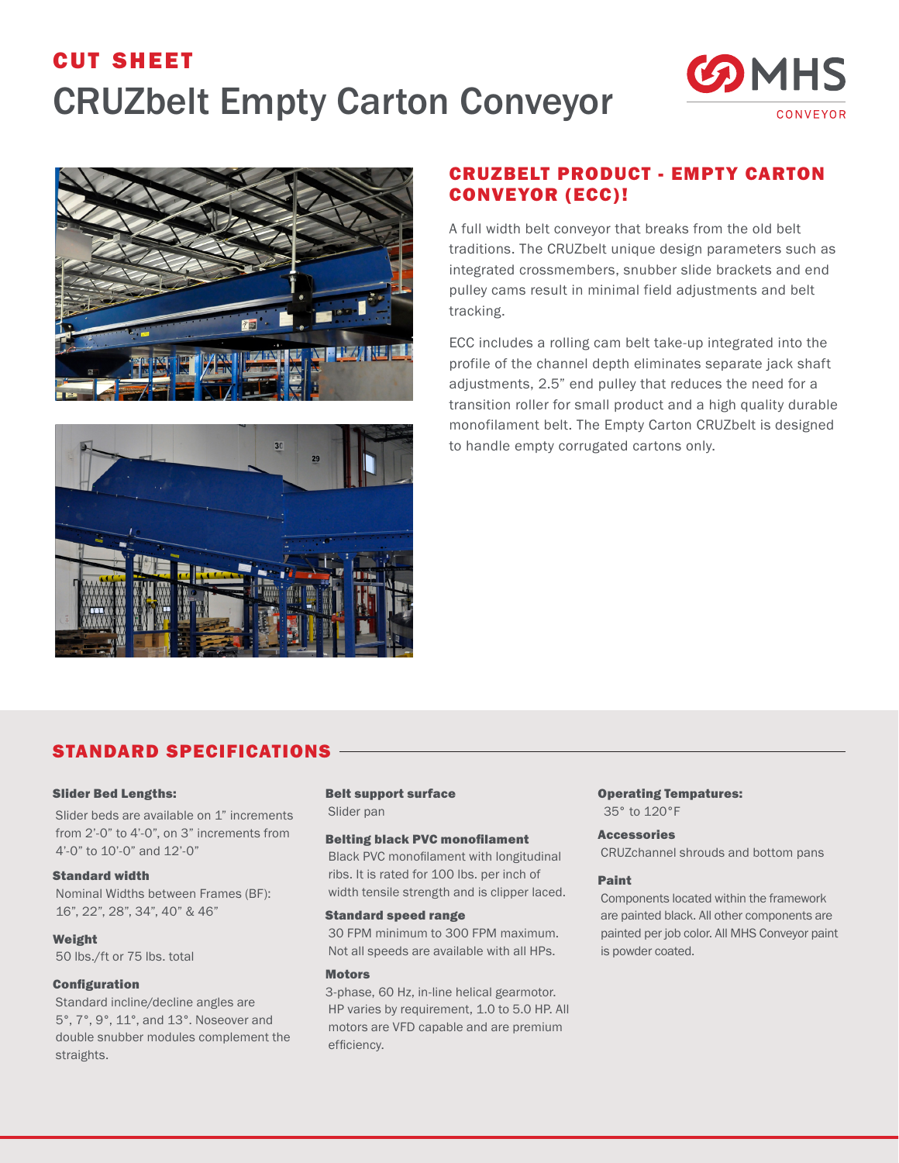# cut sheet CRUZbelt Empty Carton Conveyor







# CRUZBELT PRODUCT - EMPTY CARTON CONVEYOR (ECC)!

A full width belt conveyor that breaks from the old belt traditions. The CRUZbelt unique design parameters such as integrated crossmembers, snubber slide brackets and end pulley cams result in minimal field adjustments and belt tracking.

ECC includes a rolling cam belt take-up integrated into the profile of the channel depth eliminates separate jack shaft adjustments, 2.5" end pulley that reduces the need for a transition roller for small product and a high quality durable monofilament belt. The Empty Carton CRUZbelt is designed to handle empty corrugated cartons only.

## STANDARD SPECIFICATIONS

### Slider Bed Lengths:

Slider beds are available on 1" increments from 2'-0" to 4'-0", on 3" increments from 4'-0" to 10'-0" and 12'-0"

### Standard width

Nominal Widths between Frames (BF): 16", 22", 28", 34", 40" & 46"

### Weight

50 lbs./ft or 75 lbs. total

### **Configuration**

Standard incline/decline angles are 5°, 7°, 9°, 11°, and 13°. Noseover and double snubber modules complement the straights.

### Belt support surface

Slider pan

### Belting black PVC monofilament

Black PVC monofilament with longitudinal ribs. It is rated for 100 lbs. per inch of width tensile strength and is clipper laced.

### Standard speed range

30 FPM minimum to 300 FPM maximum. Not all speeds are available with all HPs.

### **Motors**

3-phase, 60 Hz, in-line helical gearmotor. HP varies by requirement, 1.0 to 5.0 HP. All motors are VFD capable and are premium efficiency.

### Operating Tempatures: 35° to 120°F

#### Accessories

CRUZchannel shrouds and bottom pans

### Paint

Components located within the framework are painted black. All other components are painted per job color. All MHS Conveyor paint is powder coated.